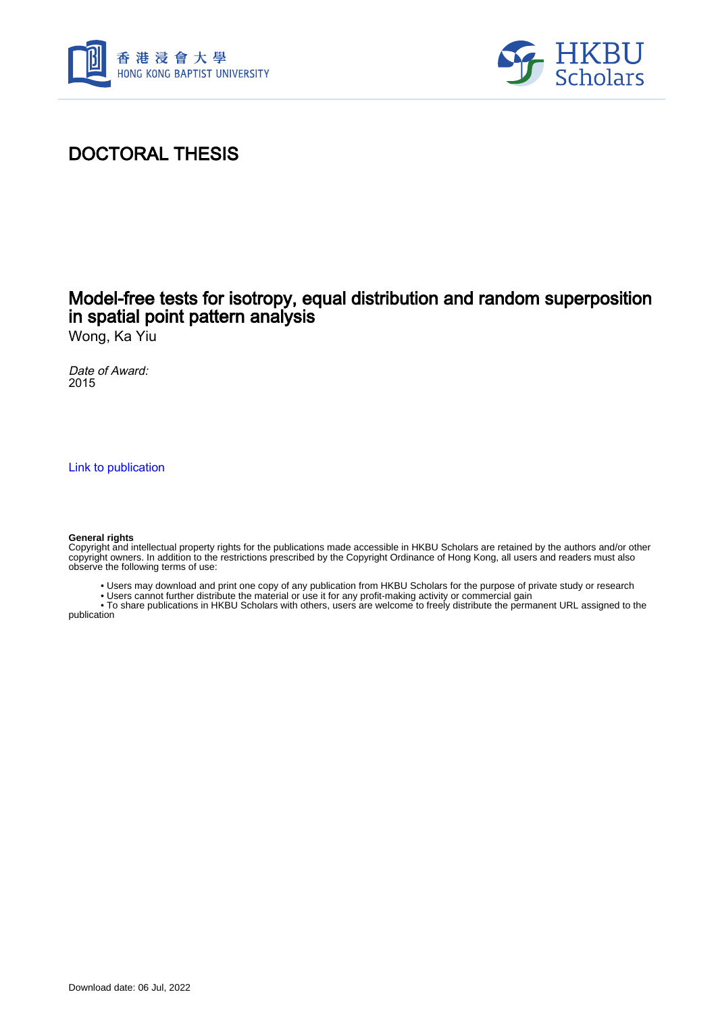



## DOCTORAL THESIS

## Model-free tests for isotropy, equal distribution and random superposition in spatial point pattern analysis

Wong, Ka Yiu

Date of Award: 2015

[Link to publication](https://scholars.hkbu.edu.hk/en/studentTheses/ba644e44-0c32-4b56-adcb-9a1a4ca99424)

#### **General rights**

Copyright and intellectual property rights for the publications made accessible in HKBU Scholars are retained by the authors and/or other copyright owners. In addition to the restrictions prescribed by the Copyright Ordinance of Hong Kong, all users and readers must also observe the following terms of use:

- Users may download and print one copy of any publication from HKBU Scholars for the purpose of private study or research
- Users cannot further distribute the material or use it for any profit-making activity or commercial gain

 • To share publications in HKBU Scholars with others, users are welcome to freely distribute the permanent URL assigned to the publication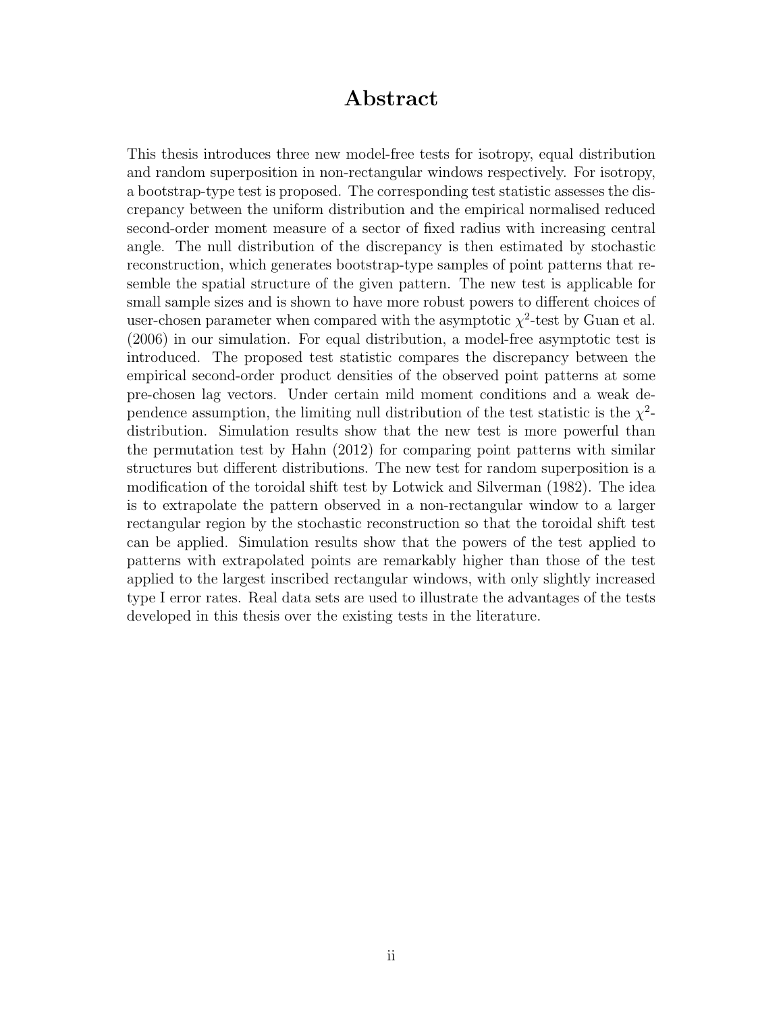### Abstract

This thesis introduces three new model-free tests for isotropy, equal distribution and random superposition in non-rectangular windows respectively. For isotropy, a bootstrap-type test is proposed. The corresponding test statistic assesses the discrepancy between the uniform distribution and the empirical normalised reduced second-order moment measure of a sector of fixed radius with increasing central angle. The null distribution of the discrepancy is then estimated by stochastic reconstruction, which generates bootstrap-type samples of point patterns that resemble the spatial structure of the given pattern. The new test is applicable for small sample sizes and is shown to have more robust powers to different choices of user-chosen parameter when compared with the asymptotic  $\chi^2$ -test by Guan et al. (2006) in our simulation. For equal distribution, a model-free asymptotic test is introduced. The proposed test statistic compares the discrepancy between the empirical second-order product densities of the observed point patterns at some pre-chosen lag vectors. Under certain mild moment conditions and a weak dependence assumption, the limiting null distribution of the test statistic is the  $\chi^2$ distribution. Simulation results show that the new test is more powerful than the permutation test by Hahn (2012) for comparing point patterns with similar structures but different distributions. The new test for random superposition is a modification of the toroidal shift test by Lotwick and Silverman (1982). The idea is to extrapolate the pattern observed in a non-rectangular window to a larger rectangular region by the stochastic reconstruction so that the toroidal shift test can be applied. Simulation results show that the powers of the test applied to patterns with extrapolated points are remarkably higher than those of the test applied to the largest inscribed rectangular windows, with only slightly increased type I error rates. Real data sets are used to illustrate the advantages of the tests developed in this thesis over the existing tests in the literature.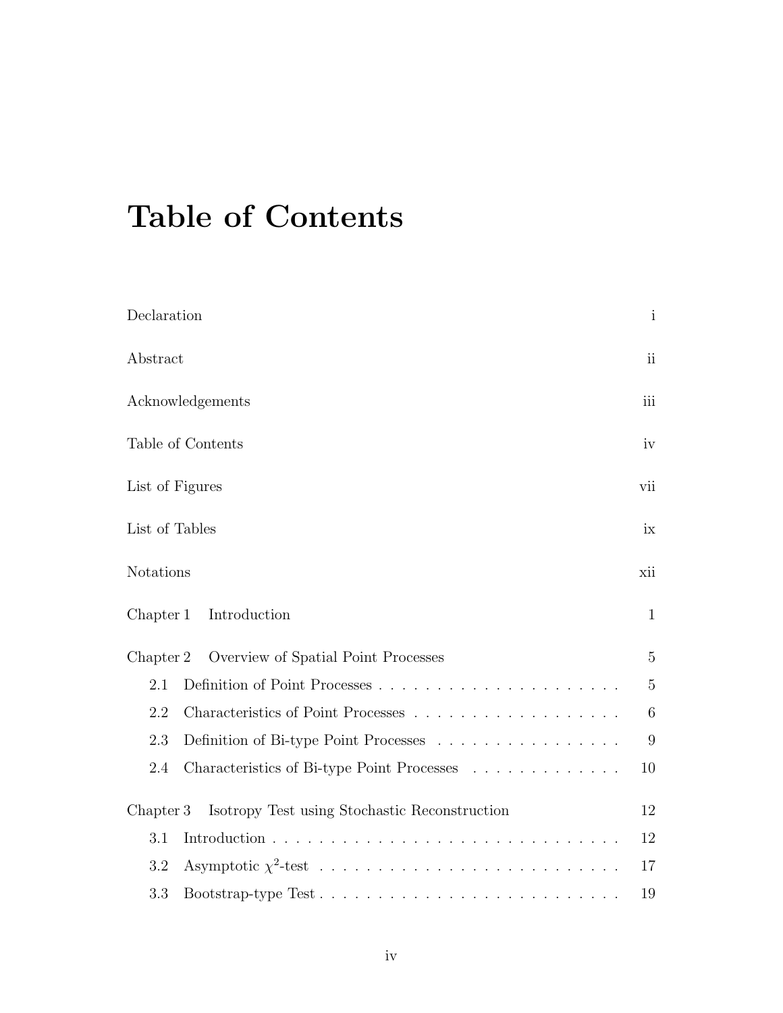# Table of Contents

| Declaration                                                | $\mathbf{i}$   |
|------------------------------------------------------------|----------------|
| Abstract                                                   | $\mathbf{ii}$  |
| Acknowledgements                                           | iii            |
| Table of Contents                                          | iv             |
| List of Figures                                            | vii            |
| List of Tables                                             | ix             |
| Notations                                                  | xii            |
| Chapter 1<br>Introduction                                  | $\mathbf{1}$   |
| Overview of Spatial Point Processes<br>Chapter 2           | $\overline{5}$ |
| 2.1                                                        | $\overline{5}$ |
| 2.2                                                        | 6              |
| Definition of Bi-type Point Processes<br>2.3               | 9              |
| Characteristics of Bi-type Point Processes<br>2.4          | 10             |
| Isotropy Test using Stochastic Reconstruction<br>Chapter 3 | 12             |
| 3.1                                                        | 12             |
| 3.2                                                        | 17             |
| 3.3<br>Bootstrap-type Test                                 | 19             |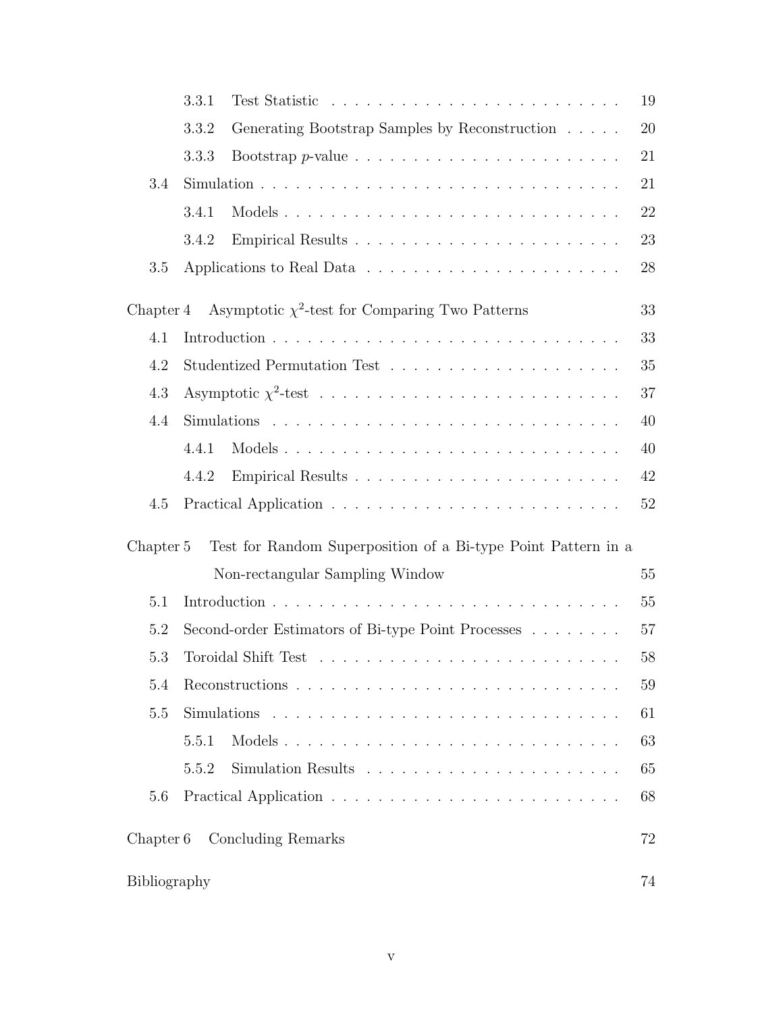|                      | 3.3.1                                                                                       | 19 |
|----------------------|---------------------------------------------------------------------------------------------|----|
|                      | Generating Bootstrap Samples by Reconstruction<br>3.3.2                                     | 20 |
|                      | 3.3.3                                                                                       | 21 |
| 3.4                  |                                                                                             | 21 |
|                      | 3.4.1                                                                                       | 22 |
|                      | 3.4.2                                                                                       | 23 |
| 3.5                  |                                                                                             | 28 |
| Chapter 4            | Asymptotic $\chi^2$ -test for Comparing Two Patterns                                        | 33 |
| 4.1                  |                                                                                             | 33 |
| 4.2                  |                                                                                             | 35 |
| 4.3                  |                                                                                             | 37 |
| 4.4                  |                                                                                             | 40 |
|                      | 4.4.1                                                                                       | 40 |
|                      | 4.4.2                                                                                       | 42 |
| 4.5                  |                                                                                             | 52 |
| Chapter 5            | Test for Random Superposition of a Bi-type Point Pattern in a                               |    |
|                      | Non-rectangular Sampling Window                                                             | 55 |
| 5.1                  |                                                                                             | 55 |
| 5.2                  | Second-order Estimators of Bi-type Point Processes                                          | 57 |
| 5.3                  | Toroidal Shift Test $\ldots \ldots \ldots \ldots \ldots \ldots \ldots \ldots \ldots \ldots$ | 58 |
| 5.4                  |                                                                                             | 59 |
| 5.5                  |                                                                                             | 61 |
|                      | 5.5.1<br>Models                                                                             | 63 |
|                      | 5.5.2                                                                                       | 65 |
| 5.6                  |                                                                                             | 68 |
| Chapter <sub>6</sub> | Concluding Remarks                                                                          | 72 |
| Bibliography         |                                                                                             | 74 |